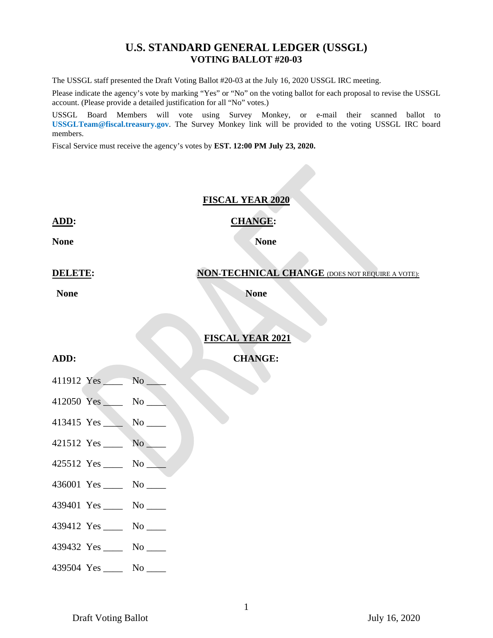#### **U.S. STANDARD GENERAL LEDGER (USSGL) VOTING BALLOT #20-03**

The USSGL staff presented the Draft Voting Ballot #20-03 at the July 16, 2020 USSGL IRC meeting.

Please indicate the agency's vote by marking "Yes" or "No" on the voting ballot for each proposal to revise the USSGL account. (Please provide a detailed justification for all "No" votes.)

USSGL Board Members will vote using Survey Monkey, or e-mail their scanned ballot to **USSGLTeam@fiscal.treasury.gov**. The Survey Monkey link will be provided to the voting USSGL IRC board members.

Fiscal Service must receive the agency's votes by **EST. 12:00 PM July 23, 2020.**

#### **FISCAL YEAR 2020**

# **ADD: CHANGE:**

**None None None** 

# **DELETE: NON-TECHNICAL CHANGE** (DOES NOT REQUIRE A VOTE):

**None None None None** 

#### **FISCAL YEAR 2021**

#### **ADD: CHANGE:**

- 411912 Yes No
- 412050 Yes No
- 413415 Yes No
- 421512 Yes \_\_\_\_ No \_\_\_\_
- 425512 Yes \_\_\_\_ No \_\_\_\_
- 436001 Yes \_\_\_\_ No \_\_\_\_
- 439401 Yes No
- 439412 Yes \_\_\_\_ No \_\_\_\_
- 439432 Yes \_\_\_\_\_ No \_\_\_\_
- 439504 Yes \_\_\_\_ No \_\_\_\_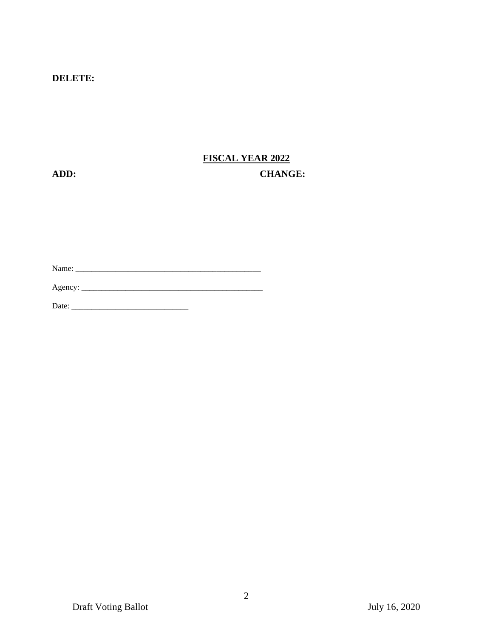#### **DELETE:**

## **FISCAL YEAR 2022 ADD: CHANGE:**

Name: \_\_\_\_\_\_\_\_\_\_\_\_\_\_\_\_\_\_\_\_\_\_\_\_\_\_\_\_\_\_\_\_\_\_\_\_\_\_\_\_\_\_\_\_\_\_

Agency: \_\_\_\_\_\_\_\_\_\_\_\_\_\_\_\_\_\_\_\_\_\_\_\_\_\_\_\_\_\_\_\_\_\_\_\_\_\_\_\_\_\_\_\_\_

Date: \_\_\_\_\_\_\_\_\_\_\_\_\_\_\_\_\_\_\_\_\_\_\_\_\_\_\_\_\_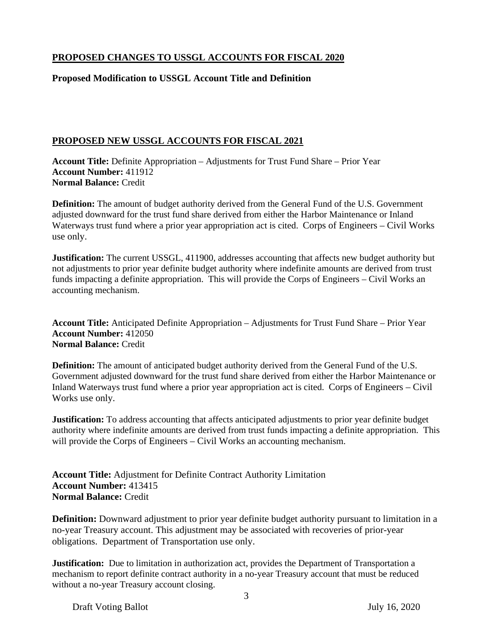### **PROPOSED CHANGES TO USSGL ACCOUNTS FOR FISCAL 2020**

#### **Proposed Modification to USSGL Account Title and Definition**

#### **PROPOSED NEW USSGL ACCOUNTS FOR FISCAL 2021**

**Account Title:** Definite Appropriation – Adjustments for Trust Fund Share – Prior Year **Account Number:** 411912 **Normal Balance:** Credit

**Definition:** The amount of budget authority derived from the General Fund of the U.S. Government adjusted downward for the trust fund share derived from either the Harbor Maintenance or Inland Waterways trust fund where a prior year appropriation act is cited. Corps of Engineers – Civil Works use only.

**Justification:** The current USSGL, 411900, addresses accounting that affects new budget authority but not adjustments to prior year definite budget authority where indefinite amounts are derived from trust funds impacting a definite appropriation. This will provide the Corps of Engineers – Civil Works an accounting mechanism.

**Account Title:** Anticipated Definite Appropriation – Adjustments for Trust Fund Share – Prior Year **Account Number:** 412050 **Normal Balance:** Credit

**Definition:** The amount of anticipated budget authority derived from the General Fund of the U.S. Government adjusted downward for the trust fund share derived from either the Harbor Maintenance or Inland Waterways trust fund where a prior year appropriation act is cited. Corps of Engineers – Civil Works use only.

**Justification:** To address accounting that affects anticipated adjustments to prior year definite budget authority where indefinite amounts are derived from trust funds impacting a definite appropriation. This will provide the Corps of Engineers – Civil Works an accounting mechanism.

**Account Title:** Adjustment for Definite Contract Authority Limitation **Account Number:** 413415 **Normal Balance:** Credit

**Definition:** Downward adjustment to prior year definite budget authority pursuant to limitation in a no-year Treasury account. This adjustment may be associated with recoveries of prior-year obligations. Department of Transportation use only.

**Justification:** Due to limitation in authorization act, provides the Department of Transportation a mechanism to report definite contract authority in a no-year Treasury account that must be reduced without a no-year Treasury account closing.

Draft Voting Ballot July 16, 2020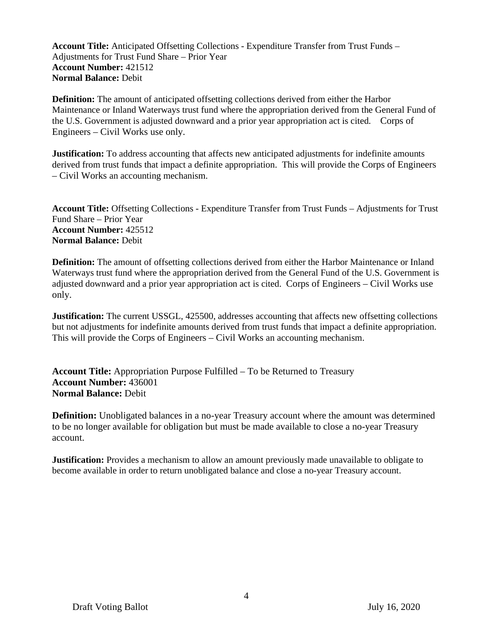**Account Title:** Anticipated Offsetting Collections - Expenditure Transfer from Trust Funds – Adjustments for Trust Fund Share – Prior Year **Account Number:** 421512 **Normal Balance:** Debit

**Definition:** The amount of anticipated offsetting collections derived from either the Harbor Maintenance or Inland Waterways trust fund where the appropriation derived from the General Fund of the U.S. Government is adjusted downward and a prior year appropriation act is cited. Corps of Engineers – Civil Works use only.

**Justification:** To address accounting that affects new anticipated adjustments for indefinite amounts derived from trust funds that impact a definite appropriation. This will provide the Corps of Engineers – Civil Works an accounting mechanism.

**Account Title:** Offsetting Collections - Expenditure Transfer from Trust Funds – Adjustments for Trust Fund Share – Prior Year **Account Number:** 425512 **Normal Balance:** Debit

**Definition:** The amount of offsetting collections derived from either the Harbor Maintenance or Inland Waterways trust fund where the appropriation derived from the General Fund of the U.S. Government is adjusted downward and a prior year appropriation act is cited. Corps of Engineers – Civil Works use only.

**Justification:** The current USSGL, 425500, addresses accounting that affects new offsetting collections but not adjustments for indefinite amounts derived from trust funds that impact a definite appropriation. This will provide the Corps of Engineers – Civil Works an accounting mechanism.

**Account Title:** Appropriation Purpose Fulfilled – To be Returned to Treasury **Account Number:** 436001 **Normal Balance:** Debit

**Definition:** Unobligated balances in a no-year Treasury account where the amount was determined to be no longer available for obligation but must be made available to close a no-year Treasury account.

**Justification:** Provides a mechanism to allow an amount previously made unavailable to obligate to become available in order to return unobligated balance and close a no-year Treasury account.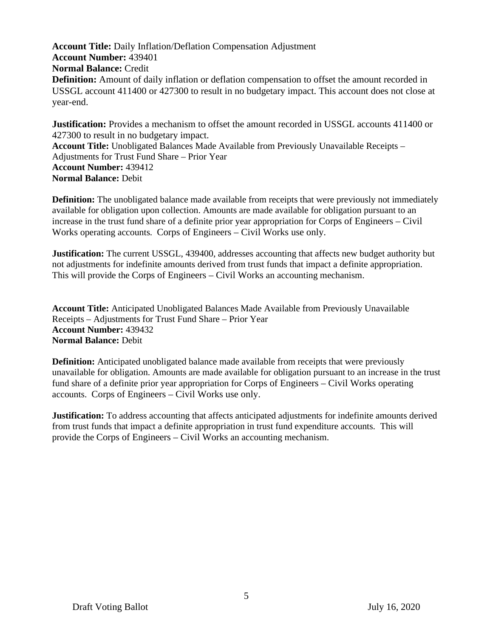**Account Title:** Daily Inflation/Deflation Compensation Adjustment **Account Number:** 439401 **Normal Balance:** Credit **Definition:** Amount of daily inflation or deflation compensation to offset the amount recorded in USSGL account 411400 or 427300 to result in no budgetary impact. This account does not close at year-end.

**Justification:** Provides a mechanism to offset the amount recorded in USSGL accounts 411400 or 427300 to result in no budgetary impact. **Account Title:** Unobligated Balances Made Available from Previously Unavailable Receipts – Adjustments for Trust Fund Share – Prior Year **Account Number:** 439412 **Normal Balance:** Debit

**Definition:** The unobligated balance made available from receipts that were previously not immediately available for obligation upon collection. Amounts are made available for obligation pursuant to an increase in the trust fund share of a definite prior year appropriation for Corps of Engineers – Civil Works operating accounts. Corps of Engineers – Civil Works use only.

**Justification:** The current USSGL, 439400, addresses accounting that affects new budget authority but not adjustments for indefinite amounts derived from trust funds that impact a definite appropriation. This will provide the Corps of Engineers – Civil Works an accounting mechanism.

**Account Title:** Anticipated Unobligated Balances Made Available from Previously Unavailable Receipts – Adjustments for Trust Fund Share – Prior Year **Account Number:** 439432 **Normal Balance:** Debit

**Definition:** Anticipated unobligated balance made available from receipts that were previously unavailable for obligation. Amounts are made available for obligation pursuant to an increase in the trust fund share of a definite prior year appropriation for Corps of Engineers – Civil Works operating accounts. Corps of Engineers – Civil Works use only.

**Justification:** To address accounting that affects anticipated adjustments for indefinite amounts derived from trust funds that impact a definite appropriation in trust fund expenditure accounts. This will provide the Corps of Engineers – Civil Works an accounting mechanism.